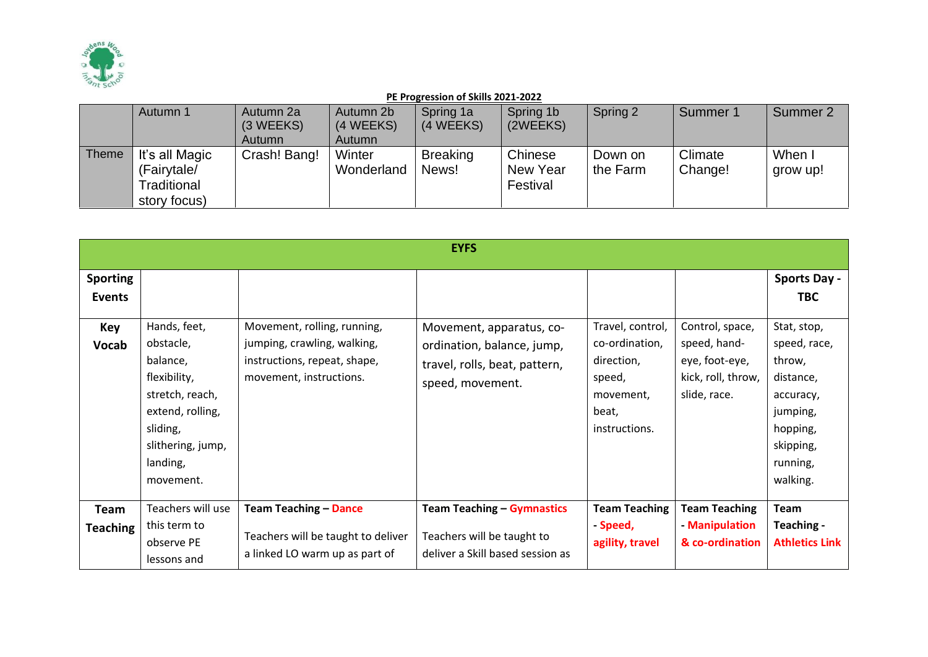

|       | Autumn 1       | Autumn 2a<br>(3 WEEKS) | Autumn 2b<br>(4 WEEKS) | Spring 1a<br>(4 WEEKS) | Spring 1b<br>(2WEEKS) | Spring 2 | Summer 1 | Summer 2 |
|-------|----------------|------------------------|------------------------|------------------------|-----------------------|----------|----------|----------|
|       |                | <b>Autumn</b>          | Autumn                 |                        |                       |          |          |          |
| Theme | It's all Magic | Crash! Bang!           | Winter                 | <b>Breaking</b>        | Chinese               | Down on  | Climate  | When I   |
|       | (Fairytale/    |                        | Wonderland             | News!                  | New Year              | the Farm | Change!  | grow up! |
|       | Traditional    |                        |                        |                        | Festival              |          |          |          |
|       | story focus)   |                        |                        |                        |                       |          |          |          |

|                                                  |                                                                                                                                                        |                                                                                                                       | <b>EYFS</b>                                                                                                 |                                                                                                   |                                                                                         |                                                                                                                                                                   |
|--------------------------------------------------|--------------------------------------------------------------------------------------------------------------------------------------------------------|-----------------------------------------------------------------------------------------------------------------------|-------------------------------------------------------------------------------------------------------------|---------------------------------------------------------------------------------------------------|-----------------------------------------------------------------------------------------|-------------------------------------------------------------------------------------------------------------------------------------------------------------------|
| <b>Sporting</b><br>Events<br>Key<br><b>Vocab</b> | Hands, feet,<br>obstacle,<br>balance,<br>flexibility,<br>stretch, reach,<br>extend, rolling,<br>sliding,<br>slithering, jump,<br>landing,<br>movement. | Movement, rolling, running,<br>jumping, crawling, walking,<br>instructions, repeat, shape,<br>movement, instructions. | Movement, apparatus, co-<br>ordination, balance, jump,<br>travel, rolls, beat, pattern,<br>speed, movement. | Travel, control,<br>co-ordination,<br>direction,<br>speed,<br>movement,<br>beat,<br>instructions. | Control, space,<br>speed, hand-<br>eye, foot-eye,<br>kick, roll, throw,<br>slide, race. | <b>Sports Day -</b><br><b>TBC</b><br>Stat, stop,<br>speed, race,<br>throw,<br>distance,<br>accuracy,<br>jumping,<br>hopping,<br>skipping,<br>running,<br>walking. |
| <b>Team</b><br><b>Teaching</b>                   | Teachers will use<br>this term to<br>observe PE<br>lessons and                                                                                         | <b>Team Teaching - Dance</b><br>Teachers will be taught to deliver<br>a linked LO warm up as part of                  | <b>Team Teaching - Gymnastics</b><br>Teachers will be taught to<br>deliver a Skill based session as         | <b>Team Teaching</b><br>- Speed,<br>agility, travel                                               | <b>Team Teaching</b><br>- Manipulation<br>& co-ordination                               | Team<br>Teaching -<br><b>Athletics Link</b>                                                                                                                       |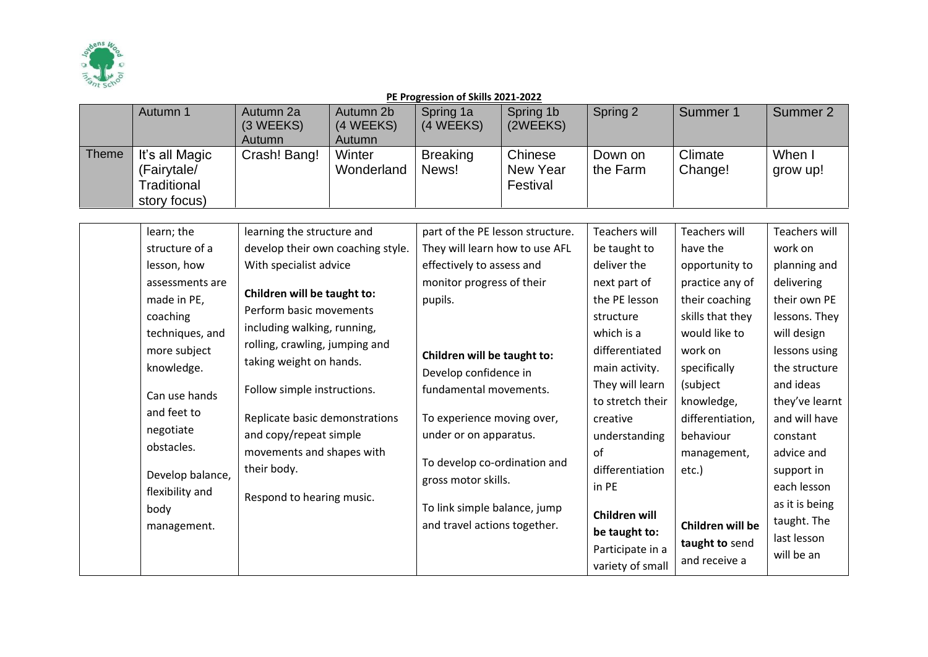

|       | Autumn 1                                                                                                                                                                                                                                                            | Autumn 2a<br>(3 WEEKS)<br>Autumn                                                                                                                                                                                                                                                                                                                                                                                    | Autumn 2b<br>(4 WEEKS)<br>Autumn | Spring 1a<br>(4 WEEKS)                                                                                                                                                                                                                                                                                                                                                                                   | Spring 1b<br>(2WEEKS)           | Spring 2                                                                                                                                                                                                                                                                                                        | Summer 1                                                                                                                                                                                                                                                                         | Summer 2                                                                                                                                                                                                                                                                                                             |
|-------|---------------------------------------------------------------------------------------------------------------------------------------------------------------------------------------------------------------------------------------------------------------------|---------------------------------------------------------------------------------------------------------------------------------------------------------------------------------------------------------------------------------------------------------------------------------------------------------------------------------------------------------------------------------------------------------------------|----------------------------------|----------------------------------------------------------------------------------------------------------------------------------------------------------------------------------------------------------------------------------------------------------------------------------------------------------------------------------------------------------------------------------------------------------|---------------------------------|-----------------------------------------------------------------------------------------------------------------------------------------------------------------------------------------------------------------------------------------------------------------------------------------------------------------|----------------------------------------------------------------------------------------------------------------------------------------------------------------------------------------------------------------------------------------------------------------------------------|----------------------------------------------------------------------------------------------------------------------------------------------------------------------------------------------------------------------------------------------------------------------------------------------------------------------|
| Theme | It's all Magic<br>(Fairytale/<br><b>Traditional</b><br>story focus)                                                                                                                                                                                                 | Crash! Bang!                                                                                                                                                                                                                                                                                                                                                                                                        | Winter<br>Wonderland             | <b>Breaking</b><br>News!                                                                                                                                                                                                                                                                                                                                                                                 | Chinese<br>New Year<br>Festival | Down on<br>the Farm                                                                                                                                                                                                                                                                                             | Climate<br>Change!                                                                                                                                                                                                                                                               | When I<br>grow up!                                                                                                                                                                                                                                                                                                   |
|       | learn; the<br>structure of a<br>lesson, how<br>assessments are<br>made in PE,<br>coaching<br>techniques, and<br>more subject<br>knowledge.<br>Can use hands<br>and feet to<br>negotiate<br>obstacles.<br>Develop balance,<br>flexibility and<br>body<br>management. | learning the structure and<br>develop their own coaching style.<br>With specialist advice<br>Children will be taught to:<br>Perform basic movements<br>including walking, running,<br>rolling, crawling, jumping and<br>taking weight on hands.<br>Follow simple instructions.<br>Replicate basic demonstrations<br>and copy/repeat simple<br>movements and shapes with<br>their body.<br>Respond to hearing music. |                                  | part of the PE lesson structure.<br>They will learn how to use AFL<br>effectively to assess and<br>monitor progress of their<br>pupils.<br>Children will be taught to:<br>Develop confidence in<br>fundamental movements.<br>To experience moving over,<br>under or on apparatus.<br>To develop co-ordination and<br>gross motor skills.<br>To link simple balance, jump<br>and travel actions together. |                                 | <b>Teachers will</b><br>be taught to<br>deliver the<br>next part of<br>the PE lesson<br>structure<br>which is a<br>differentiated<br>main activity.<br>They will learn<br>to stretch their<br>creative<br>understanding<br>of<br>differentiation<br>in PE<br>Children will<br>be taught to:<br>Participate in a | <b>Teachers will</b><br>have the<br>opportunity to<br>practice any of<br>their coaching<br>skills that they<br>would like to<br>work on<br>specifically<br>(subject<br>knowledge,<br>differentiation,<br>behaviour<br>management,<br>etc.)<br>Children will be<br>taught to send | <b>Teachers will</b><br>work on<br>planning and<br>delivering<br>their own PE<br>lessons. They<br>will design<br>lessons using<br>the structure<br>and ideas<br>they've learnt<br>and will have<br>constant<br>advice and<br>support in<br>each lesson<br>as it is being<br>taught. The<br>last lesson<br>will be an |
|       |                                                                                                                                                                                                                                                                     |                                                                                                                                                                                                                                                                                                                                                                                                                     |                                  |                                                                                                                                                                                                                                                                                                                                                                                                          |                                 | variety of small                                                                                                                                                                                                                                                                                                | and receive a                                                                                                                                                                                                                                                                    |                                                                                                                                                                                                                                                                                                                      |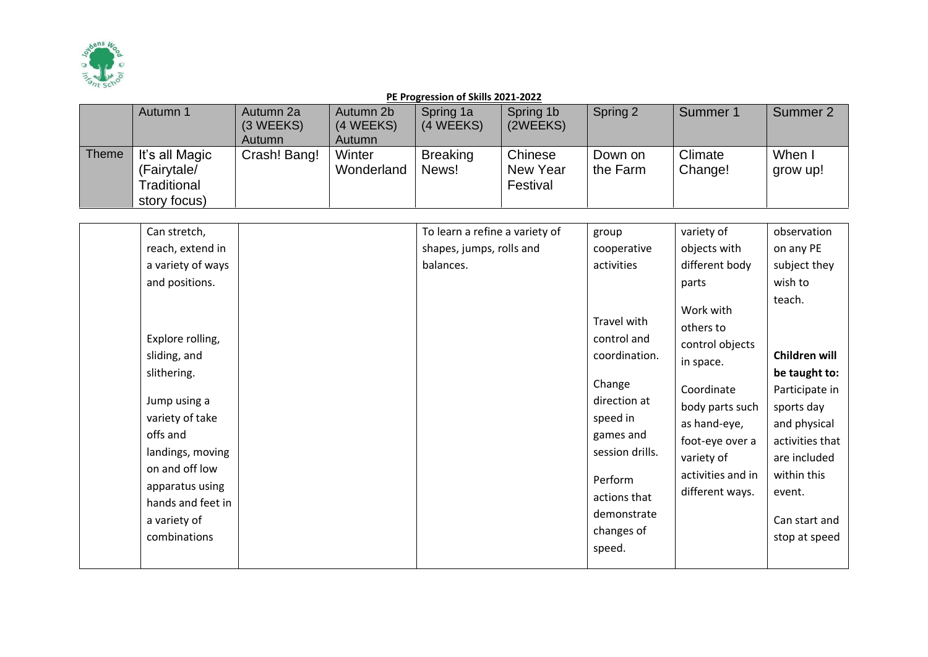

|       | Autumn 1                                                     | Autumn 2a<br>(3 WEEKS)<br><b>Autumn</b> | Autumn 2b<br>(4 WEEKS)<br>Autumn | Spring 1a<br>(4 WEEKS)   | Spring 1b<br>(2WEEKS)           | Spring 2            | Summer 1           | Summer 2           |
|-------|--------------------------------------------------------------|-----------------------------------------|----------------------------------|--------------------------|---------------------------------|---------------------|--------------------|--------------------|
| Theme | It's all Magic<br>(Fairytale/<br>Traditional<br>story focus) | Crash! Bang!                            | Winter<br>Wonderland             | <b>Breaking</b><br>News! | Chinese<br>New Year<br>Festival | Down on<br>the Farm | Climate<br>Change! | When I<br>grow up! |

| Can stretch,                                            |                                                                                                                                                   | To learn a refine a variety of | group                                                                                                                                                                               | variety of                                                                                                                                                                       | observation                                                                                                                                                                            |
|---------------------------------------------------------|---------------------------------------------------------------------------------------------------------------------------------------------------|--------------------------------|-------------------------------------------------------------------------------------------------------------------------------------------------------------------------------------|----------------------------------------------------------------------------------------------------------------------------------------------------------------------------------|----------------------------------------------------------------------------------------------------------------------------------------------------------------------------------------|
|                                                         | reach, extend in                                                                                                                                  | shapes, jumps, rolls and       | cooperative                                                                                                                                                                         | objects with                                                                                                                                                                     | on any PE                                                                                                                                                                              |
|                                                         | a variety of ways                                                                                                                                 | balances.                      | activities                                                                                                                                                                          | different body                                                                                                                                                                   | subject they                                                                                                                                                                           |
|                                                         | and positions.                                                                                                                                    |                                |                                                                                                                                                                                     | parts                                                                                                                                                                            | wish to                                                                                                                                                                                |
| sliding, and<br>slithering.<br>offs and<br>a variety of | Explore rolling,<br>Jump using a<br>variety of take<br>landings, moving<br>on and off low<br>apparatus using<br>hands and feet in<br>combinations |                                | Travel with<br>control and<br>coordination.<br>Change<br>direction at<br>speed in<br>games and<br>session drills.<br>Perform<br>actions that<br>demonstrate<br>changes of<br>speed. | Work with<br>others to<br>control objects<br>in space.<br>Coordinate<br>body parts such<br>as hand-eye,<br>foot-eye over a<br>variety of<br>activities and in<br>different ways. | teach.<br>Children will<br>be taught to:<br>Participate in<br>sports day<br>and physical<br>activities that<br>are included<br>within this<br>event.<br>Can start and<br>stop at speed |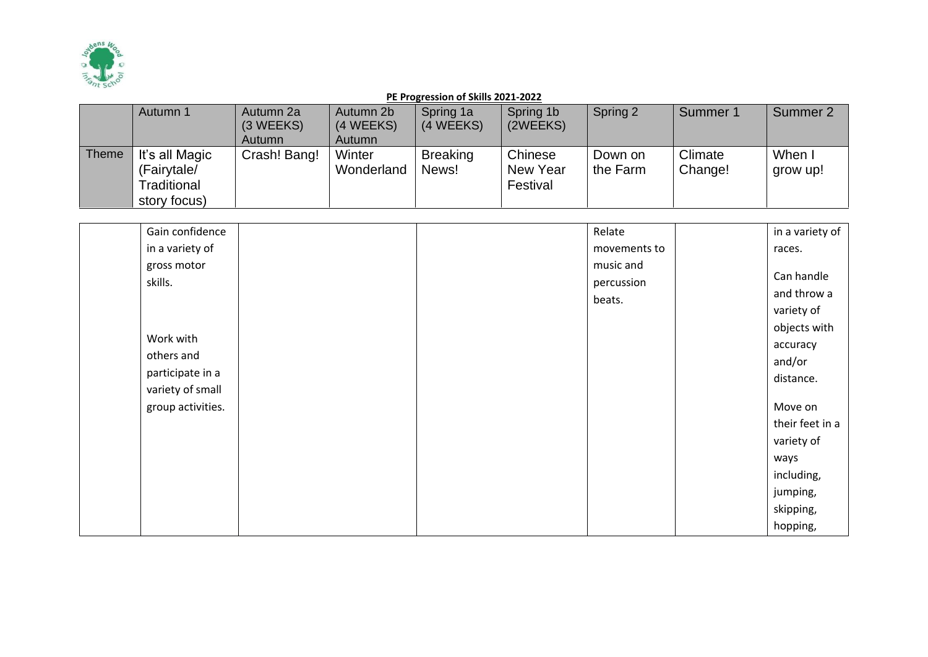

|       | Autumn 1       | Autumn 2a     | Autumn 2b  | Spring 1a       | Spring 1b | Spring 2 | Summer 1 | Summer 2 |
|-------|----------------|---------------|------------|-----------------|-----------|----------|----------|----------|
|       |                | (3 WEEKS)     | (4 WEEKS)  | (4 WEEKS)       | (2WEEKS)  |          |          |          |
|       |                | <b>Autumn</b> | Autumn     |                 |           |          |          |          |
| Theme | It's all Magic | Crash! Bang!  | Winter     | <b>Breaking</b> | Chinese   | Down on  | Climate  | When I   |
|       | (Fairytale/    |               | Wonderland | News!           | New Year  | the Farm | Change!  | grow up! |
|       | Traditional    |               |            |                 | Festival  |          |          |          |
|       | story focus)   |               |            |                 |           |          |          |          |

| Gain confidence                                   | Relate                            | in a variety of                                                               |
|---------------------------------------------------|-----------------------------------|-------------------------------------------------------------------------------|
| in a variety of                                   | movements to                      | races.                                                                        |
| gross motor<br>skills.<br>Work with<br>others and | music and<br>percussion<br>beats. | Can handle<br>and throw a<br>variety of<br>objects with<br>accuracy<br>and/or |
| participate in a<br>variety of small              |                                   | distance.                                                                     |
| group activities.                                 |                                   | Move on<br>their feet in a<br>variety of                                      |
|                                                   |                                   | ways<br>including,<br>jumping,<br>skipping,<br>hopping,                       |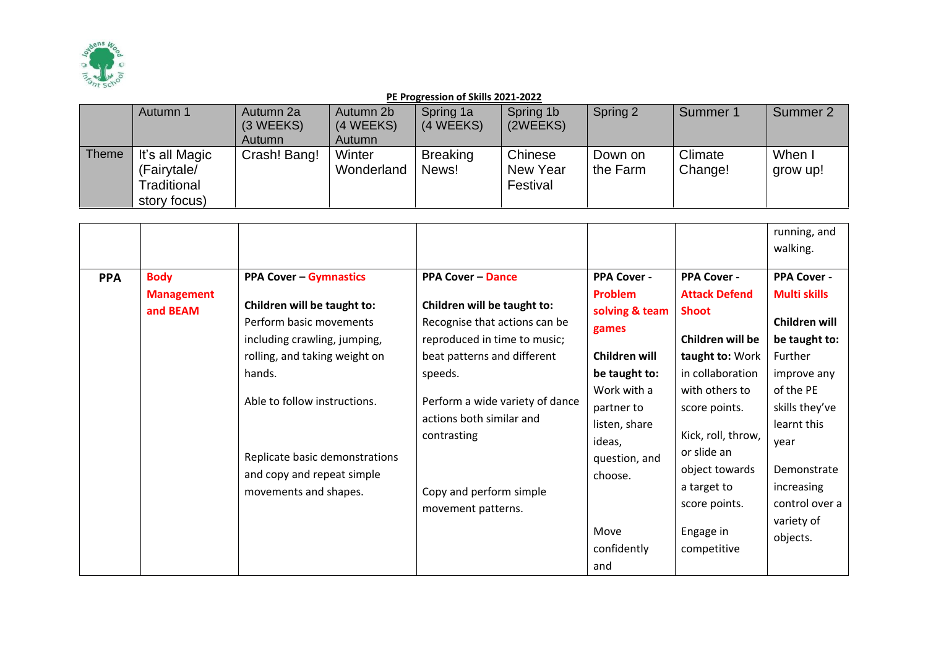

|              | Autumn 1       | Autumn 2a     | Autumn 2b  | Spring 1a       | Spring 1b | Spring 2 | Summer 1 | Summer 2 |
|--------------|----------------|---------------|------------|-----------------|-----------|----------|----------|----------|
|              |                | (3 WEEKS)     | (4 WEEKS)  | (4 WEEKS)       | (2WEEKS)  |          |          |          |
|              |                | <b>Autumn</b> | Autumn     |                 |           |          |          |          |
| <b>Theme</b> | It's all Magic | Crash! Bang!  | Winter     | <b>Breaking</b> | Chinese   | Down on  | Climate  | When I   |
|              | (Fairytale/    |               | Wonderland | News!           | New Year  | the Farm | Change!  | grow up! |
|              | Traditional    |               |            |                 | Festival  |          |          |          |
|              | story focus)   |               |            |                 |           |          |          |          |

|            |                                              |                                                                                                                                                                                                                                                                                             |                                                                                                                                                                                                                                                                                                   |                                                                                                                                                                                        |                                                                                                                                                                                                                                                              | running, and<br>walking.                                                                                                                                                                                                             |
|------------|----------------------------------------------|---------------------------------------------------------------------------------------------------------------------------------------------------------------------------------------------------------------------------------------------------------------------------------------------|---------------------------------------------------------------------------------------------------------------------------------------------------------------------------------------------------------------------------------------------------------------------------------------------------|----------------------------------------------------------------------------------------------------------------------------------------------------------------------------------------|--------------------------------------------------------------------------------------------------------------------------------------------------------------------------------------------------------------------------------------------------------------|--------------------------------------------------------------------------------------------------------------------------------------------------------------------------------------------------------------------------------------|
|            |                                              |                                                                                                                                                                                                                                                                                             |                                                                                                                                                                                                                                                                                                   |                                                                                                                                                                                        |                                                                                                                                                                                                                                                              |                                                                                                                                                                                                                                      |
| <b>PPA</b> | <b>Body</b><br><b>Management</b><br>and BEAM | <b>PPA Cover - Gymnastics</b><br>Children will be taught to:<br>Perform basic movements<br>including crawling, jumping,<br>rolling, and taking weight on<br>hands.<br>Able to follow instructions.<br>Replicate basic demonstrations<br>and copy and repeat simple<br>movements and shapes. | <b>PPA Cover - Dance</b><br>Children will be taught to:<br>Recognise that actions can be<br>reproduced in time to music;<br>beat patterns and different<br>speeds.<br>Perform a wide variety of dance<br>actions both similar and<br>contrasting<br>Copy and perform simple<br>movement patterns. | <b>PPA Cover -</b><br>Problem<br>solving & team<br>games<br>Children will<br>be taught to:<br>Work with a<br>partner to<br>listen, share<br>ideas,<br>question, and<br>choose.<br>Move | <b>PPA Cover -</b><br><b>Attack Defend</b><br><b>Shoot</b><br>Children will be<br>taught to: Work<br>in collaboration<br>with others to<br>score points.<br>Kick, roll, throw,<br>or slide an<br>object towards<br>a target to<br>score points.<br>Engage in | <b>PPA Cover -</b><br><b>Multi skills</b><br>Children will<br>be taught to:<br>Further<br>improve any<br>of the PE<br>skills they've<br>learnt this<br>year<br>Demonstrate<br>increasing<br>control over a<br>variety of<br>objects. |
|            |                                              |                                                                                                                                                                                                                                                                                             |                                                                                                                                                                                                                                                                                                   | confidently<br>and                                                                                                                                                                     | competitive                                                                                                                                                                                                                                                  |                                                                                                                                                                                                                                      |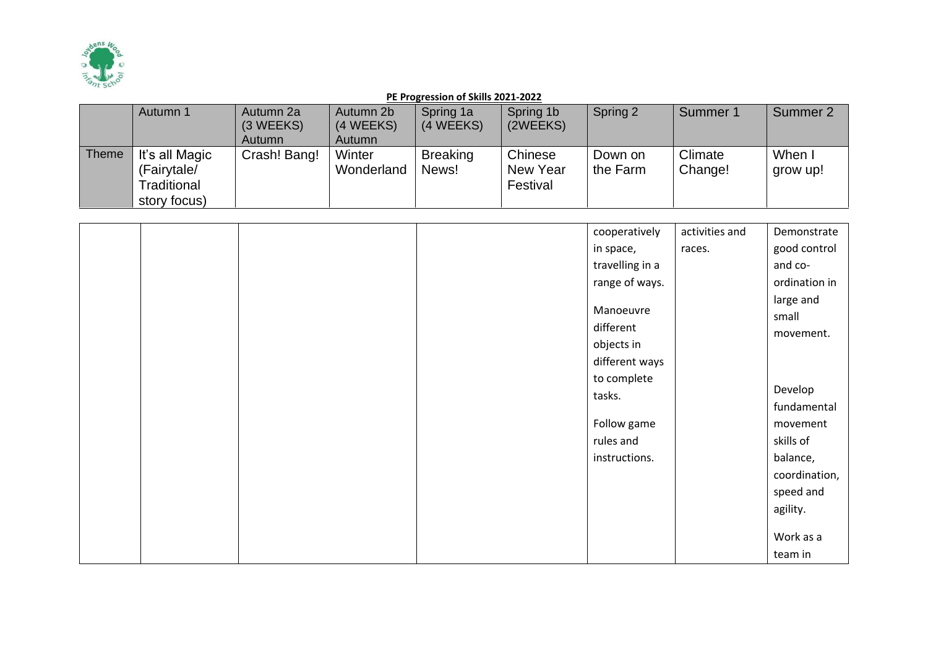

|       | Autumn 1       | Autumn 2a    | Autumn 2b  | Spring 1a       | Spring 1b | Spring 2 | Summer 1 | Summer 2 |
|-------|----------------|--------------|------------|-----------------|-----------|----------|----------|----------|
|       |                | (3 WEEKS)    | (4 WEEKS)  | (4 WEEKS)       | (2WEEKS)  |          |          |          |
|       |                | Autumn       | Autumn     |                 |           |          |          |          |
| Theme | It's all Magic | Crash! Bang! | Winter     | <b>Breaking</b> | Chinese   | Down on  | Climate  | When I   |
|       | (Fairytale/    |              | Wonderland | News!           | New Year  | the Farm | Change!  | grow up! |
|       | Traditional    |              |            |                 | Festival  |          |          |          |
|       | story focus)   |              |            |                 |           |          |          |          |

|  |  | cooperatively   | activities and | Demonstrate   |
|--|--|-----------------|----------------|---------------|
|  |  | in space,       | races.         | good control  |
|  |  | travelling in a |                | and co-       |
|  |  | range of ways.  |                | ordination in |
|  |  |                 |                | large and     |
|  |  | Manoeuvre       |                | small         |
|  |  | different       |                | movement.     |
|  |  | objects in      |                |               |
|  |  | different ways  |                |               |
|  |  | to complete     |                |               |
|  |  | tasks.          |                | Develop       |
|  |  |                 |                | fundamental   |
|  |  | Follow game     |                | movement      |
|  |  | rules and       |                | skills of     |
|  |  | instructions.   |                | balance,      |
|  |  |                 |                | coordination, |
|  |  |                 |                | speed and     |
|  |  |                 |                | agility.      |
|  |  |                 |                |               |
|  |  |                 |                | Work as a     |
|  |  |                 |                | team in       |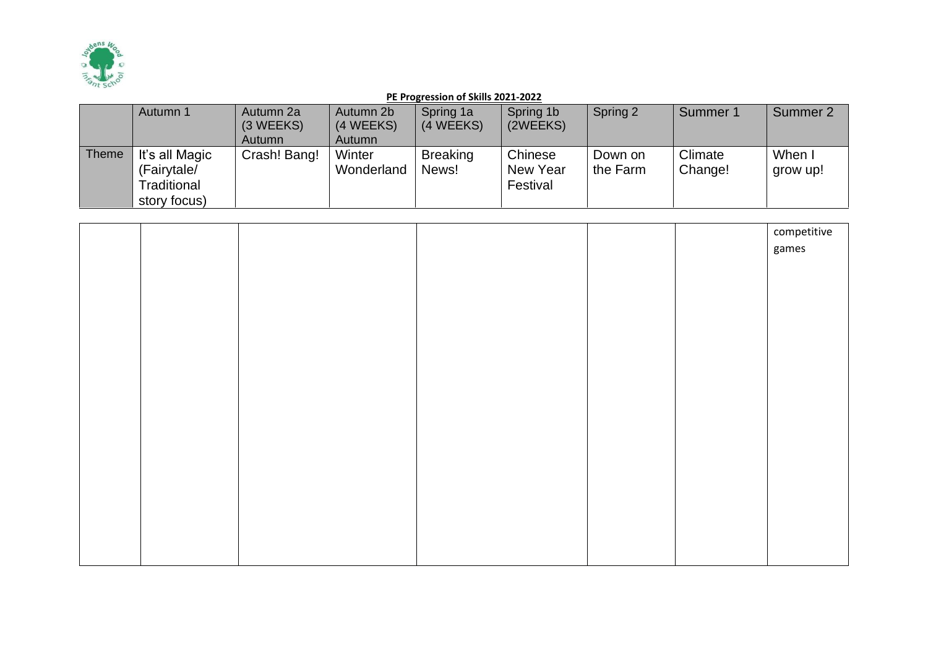

|              | Autumn 1       | Autumn 2a<br>(3 WEEKS) | Autumn 2b<br>(4 WEEKS) | Spring 1a<br>(4 WEEKS) | Spring 1b<br>(2WEEKS) | Spring 2 | Summer 1 | Summer 2 |
|--------------|----------------|------------------------|------------------------|------------------------|-----------------------|----------|----------|----------|
|              |                | Autumn                 | Autumn                 |                        |                       |          |          |          |
| <b>Theme</b> | It's all Magic | Crash! Bang!           | Winter                 | <b>Breaking</b>        | Chinese               | Down on  | Climate  | When I   |
|              | (Fairytale/    |                        | Wonderland             | News!                  | New Year              | the Farm | Change!  | grow up! |
|              | Traditional    |                        |                        |                        | Festival              |          |          |          |
|              | story focus)   |                        |                        |                        |                       |          |          |          |

|  |  |  | competitive |
|--|--|--|-------------|
|  |  |  | games       |
|  |  |  |             |
|  |  |  |             |
|  |  |  |             |
|  |  |  |             |
|  |  |  |             |
|  |  |  |             |
|  |  |  |             |
|  |  |  |             |
|  |  |  |             |
|  |  |  |             |
|  |  |  |             |
|  |  |  |             |
|  |  |  |             |
|  |  |  |             |
|  |  |  |             |
|  |  |  |             |
|  |  |  |             |
|  |  |  |             |
|  |  |  |             |
|  |  |  |             |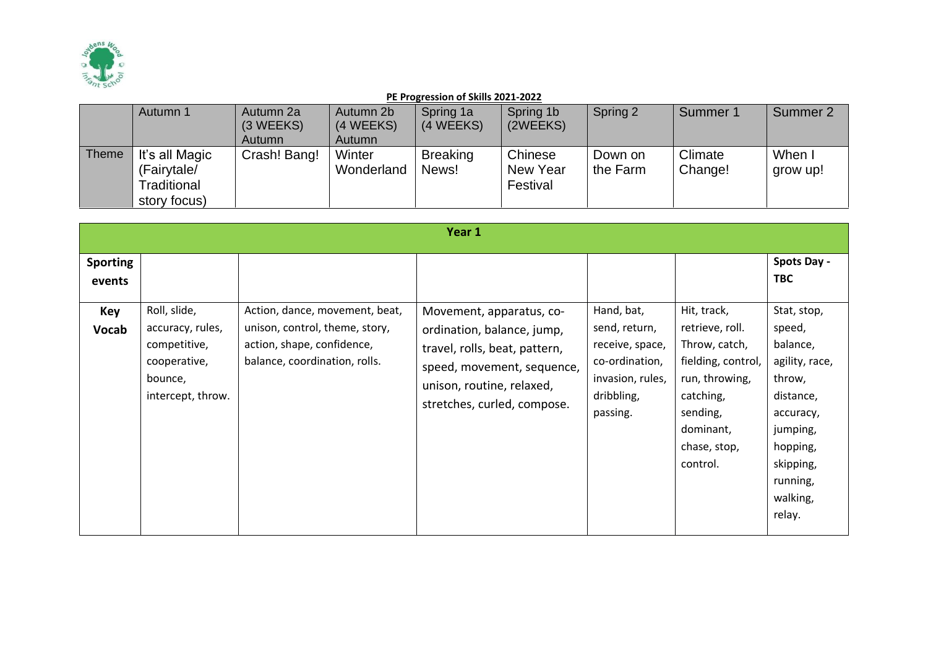

|              | Autumn 1                                                     | Autumn 2a<br>(3 WEEKS)<br><b>Autumn</b> | Autumn 2b<br>(4 WEEKS)<br>Autumn | Spring 1a<br>(4 WEEKS)   | Spring 1b<br>(2WEEKS)           | Spring 2            | Summer 1           | Summer 2           |
|--------------|--------------------------------------------------------------|-----------------------------------------|----------------------------------|--------------------------|---------------------------------|---------------------|--------------------|--------------------|
| <b>Theme</b> | It's all Magic<br>(Fairytale/<br>Traditional<br>story focus) | Crash! Bang!                            | Winter<br>Wonderland             | <b>Breaking</b><br>News! | Chinese<br>New Year<br>Festival | Down on<br>the Farm | Climate<br>Change! | When I<br>grow up! |

|                                                         |                                                                                                  |                                                                                                                                 | Year 1                                                                                                                                                                            |                                                                                                                |                                                                                                                                                           |                                                                                                                                                                       |
|---------------------------------------------------------|--------------------------------------------------------------------------------------------------|---------------------------------------------------------------------------------------------------------------------------------|-----------------------------------------------------------------------------------------------------------------------------------------------------------------------------------|----------------------------------------------------------------------------------------------------------------|-----------------------------------------------------------------------------------------------------------------------------------------------------------|-----------------------------------------------------------------------------------------------------------------------------------------------------------------------|
| <b>Sporting</b><br>events<br><b>Key</b><br><b>Vocab</b> | Roll, slide,<br>accuracy, rules,<br>competitive,<br>cooperative,<br>bounce,<br>intercept, throw. | Action, dance, movement, beat,<br>unison, control, theme, story,<br>action, shape, confidence,<br>balance, coordination, rolls. | Movement, apparatus, co-<br>ordination, balance, jump,<br>travel, rolls, beat, pattern,<br>speed, movement, sequence,<br>unison, routine, relaxed,<br>stretches, curled, compose. | Hand, bat,<br>send, return,<br>receive, space,<br>co-ordination,<br>invasion, rules,<br>dribbling,<br>passing. | Hit, track,<br>retrieve, roll.<br>Throw, catch,<br>fielding, control,<br>run, throwing,<br>catching,<br>sending,<br>dominant,<br>chase, stop,<br>control. | Spots Day -<br><b>TBC</b><br>Stat, stop,<br>speed,<br>balance,<br>agility, race,<br>throw,<br>distance,<br>accuracy,<br>jumping,<br>hopping,<br>skipping,<br>running, |
|                                                         |                                                                                                  |                                                                                                                                 |                                                                                                                                                                                   |                                                                                                                |                                                                                                                                                           | walking,<br>relay.                                                                                                                                                    |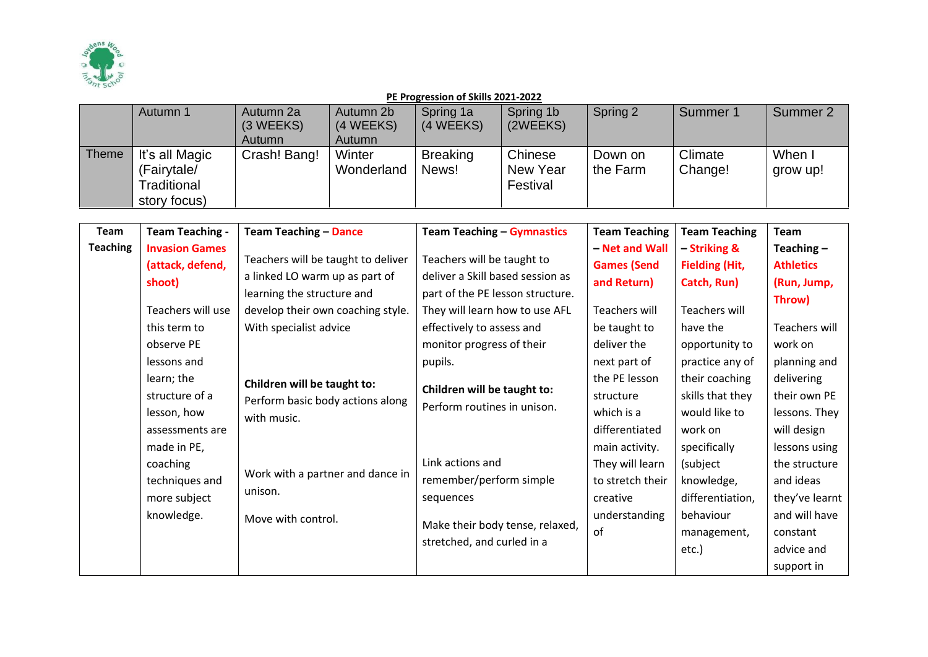

|              | Autumn 1                                                     | Autumn 2a<br>(3 WEEKS)<br>Autumn | Autumn 2b<br>(4 WEEKS)<br><b>Autumn</b> | Spring 1a<br>(4 WEEKS)   | Spring 1b<br>(2WEEKS)           | Spring 2            | Summer 1           | Summer 2           |
|--------------|--------------------------------------------------------------|----------------------------------|-----------------------------------------|--------------------------|---------------------------------|---------------------|--------------------|--------------------|
| <b>Theme</b> | It's all Magic<br>(Fairytale/<br>Traditional<br>story focus) | Crash! Bang!                     | Winter<br>Wonderland                    | <b>Breaking</b><br>News! | Chinese<br>New Year<br>Festival | Down on<br>the Farm | Climate<br>Change! | When I<br>grow up! |

| <b>Team</b>     | <b>Team Teaching -</b>                                                       | <b>Team Teaching - Dance</b>                                                                                                                  | <b>Team Teaching - Gymnastics</b>                                                                                                                                 | <b>Team Teaching</b>                                                          | <b>Team Teaching</b>                                                             | <b>Team</b>                                                                                           |
|-----------------|------------------------------------------------------------------------------|-----------------------------------------------------------------------------------------------------------------------------------------------|-------------------------------------------------------------------------------------------------------------------------------------------------------------------|-------------------------------------------------------------------------------|----------------------------------------------------------------------------------|-------------------------------------------------------------------------------------------------------|
| <b>Teaching</b> | <b>Invasion Games</b><br>(attack, defend,<br>shoot)                          | Teachers will be taught to deliver<br>a linked LO warm up as part of<br>learning the structure and                                            | Teachers will be taught to<br>deliver a Skill based session as<br>part of the PE lesson structure.                                                                | - Net and Wall<br><b>Games (Send</b><br>and Return)                           | - Striking &<br><b>Fielding (Hit,</b><br>Catch, Run)                             | Teaching $-$<br><b>Athletics</b><br>(Run, Jump,<br>Throw)                                             |
|                 | Teachers will use<br>this term to<br>observe PE<br>lessons and<br>learn; the | develop their own coaching style.<br>With specialist advice<br>Children will be taught to:<br>Perform basic body actions along<br>with music. | They will learn how to use AFL<br>effectively to assess and<br>monitor progress of their<br>pupils.<br>Children will be taught to:<br>Perform routines in unison. | Teachers will<br>be taught to<br>deliver the<br>next part of<br>the PE lesson | Teachers will<br>have the<br>opportunity to<br>practice any of<br>their coaching | Teachers will<br>work on<br>planning and<br>delivering                                                |
|                 | structure of a<br>lesson, how<br>assessments are<br>made in PE,              |                                                                                                                                               |                                                                                                                                                                   | structure<br>which is a<br>differentiated<br>main activity.                   | skills that they<br>would like to<br>work on<br>specifically                     | their own PE<br>lessons. They<br>will design<br>lessons using                                         |
|                 | coaching<br>techniques and<br>more subject<br>knowledge.                     | Work with a partner and dance in<br>unison.<br>Move with control.                                                                             | Link actions and<br>remember/perform simple<br>sequences<br>Make their body tense, relaxed,<br>stretched, and curled in a                                         | They will learn<br>to stretch their<br>creative<br>understanding<br>of        | (subject<br>knowledge,<br>differentiation,<br>behaviour<br>management,<br>etc.)  | the structure<br>and ideas<br>they've learnt<br>and will have<br>constant<br>advice and<br>support in |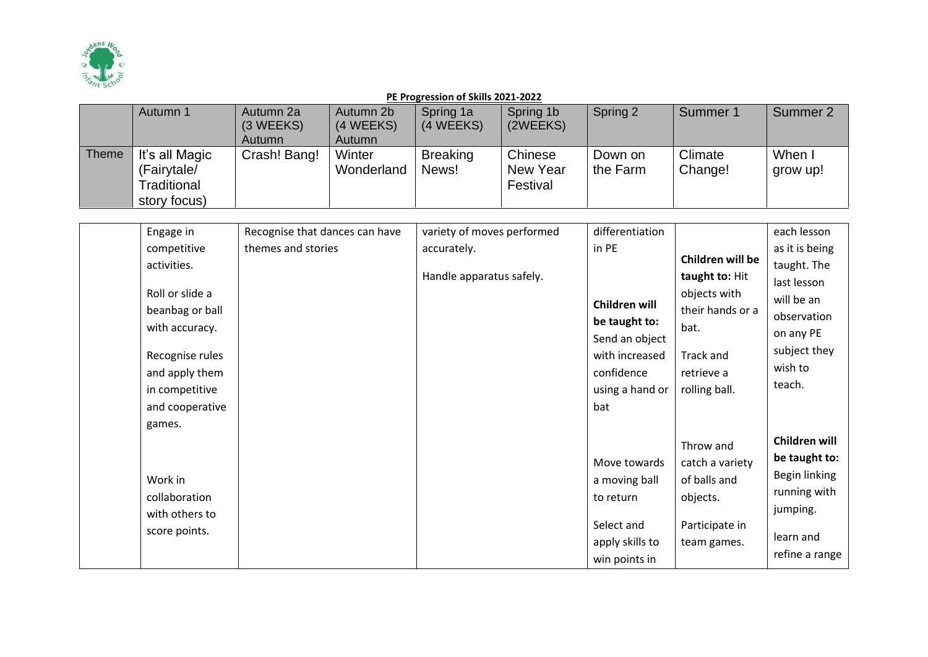

|       | Autumn 1       | Autumn 2a     | Autumn 2b  | Spring 1a       | Spring 1b | Spring 2 | Summer 1 | Summer 2 |
|-------|----------------|---------------|------------|-----------------|-----------|----------|----------|----------|
|       |                | (3 WEEKS)     | (4 WEEKS)  | (4 WEEKS)       | (2WEEKS)  |          |          |          |
|       |                | <b>Autumn</b> | Autumn     |                 |           |          |          |          |
| Theme | It's all Magic | Crash! Bang!  | Winter     | <b>Breaking</b> | Chinese   | Down on  | Climate  | When I   |
|       | (Fairytale/    |               | Wonderland | News!           | New Year  | the Farm | Change!  | grow up! |
|       | Traditional    |               |            |                 | Festival  |          |          |          |
|       | story focus)   |               |            |                 |           |          |          |          |

| Engage in       | Recognise that dances can have | variety of moves performed | differentiation |                  | each lesson    |
|-----------------|--------------------------------|----------------------------|-----------------|------------------|----------------|
| competitive     | themes and stories             | accurately.                | in PE           |                  | as it is being |
| activities.     |                                |                            |                 | Children will be | taught. The    |
|                 |                                | Handle apparatus safely.   |                 | taught to: Hit   | last lesson    |
| Roll or slide a |                                |                            | Children will   | objects with     | will be an     |
| beanbag or ball |                                |                            | be taught to:   | their hands or a | observation    |
| with accuracy.  |                                |                            | Send an object  | bat.             | on any PE      |
| Recognise rules |                                |                            | with increased  | Track and        | subject they   |
| and apply them  |                                |                            | confidence      | retrieve a       | wish to        |
| in competitive  |                                |                            | using a hand or | rolling ball.    | teach.         |
| and cooperative |                                |                            | bat             |                  |                |
| games.          |                                |                            |                 |                  |                |
|                 |                                |                            |                 |                  | Children will  |
|                 |                                |                            |                 | Throw and        |                |
|                 |                                |                            | Move towards    | catch a variety  | be taught to:  |
| Work in         |                                |                            | a moving ball   | of balls and     | Begin linking  |
| collaboration   |                                |                            | to return       | objects.         | running with   |
| with others to  |                                |                            |                 |                  | jumping.       |
| score points.   |                                |                            | Select and      | Participate in   | learn and      |
|                 |                                |                            | apply skills to | team games.      |                |
|                 |                                |                            | win points in   |                  | refine a range |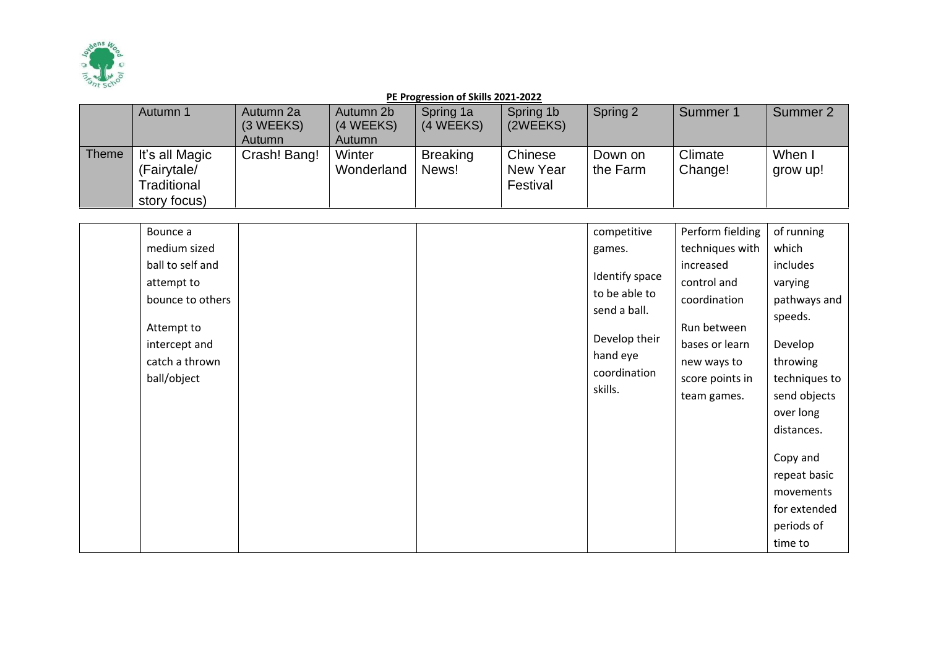

|       | Autumn 1       | Autumn 2a<br>(3 WEEKS) | Autumn 2b<br>(4 WEEKS) | Spring 1a<br>(4 WEEKS) | Spring 1b<br>(2WEEKS) | Spring 2 | Summer 1 | Summer 2 |
|-------|----------------|------------------------|------------------------|------------------------|-----------------------|----------|----------|----------|
|       |                | Autumn                 | Autumn                 |                        |                       |          |          |          |
| Theme | It's all Magic | Crash! Bang!           | Winter                 | <b>Breaking</b>        | Chinese               | Down on  | Climate  | When I   |
|       | (Fairytale/    |                        | Wonderland             | News!                  | New Year              | the Farm | Change!  | grow up! |
|       | Traditional    |                        |                        |                        | Festival              |          |          |          |
|       | story focus)   |                        |                        |                        |                       |          |          |          |

| Bounce a         |  | competitive    | Perform fielding | of running    |
|------------------|--|----------------|------------------|---------------|
| medium sized     |  | games.         | techniques with  | which         |
| ball to self and |  |                | increased        | includes      |
| attempt to       |  | Identify space | control and      | varying       |
| bounce to others |  | to be able to  | coordination     | pathways and  |
| Attempt to       |  | send a ball.   | Run between      | speeds.       |
| intercept and    |  | Develop their  | bases or learn   | Develop       |
| catch a thrown   |  | hand eye       | new ways to      | throwing      |
| ball/object      |  | coordination   | score points in  | techniques to |
|                  |  | skills.        | team games.      | send objects  |
|                  |  |                |                  | over long     |
|                  |  |                |                  | distances.    |
|                  |  |                |                  | Copy and      |
|                  |  |                |                  | repeat basic  |
|                  |  |                |                  | movements     |
|                  |  |                |                  | for extended  |
|                  |  |                |                  | periods of    |
|                  |  |                |                  | time to       |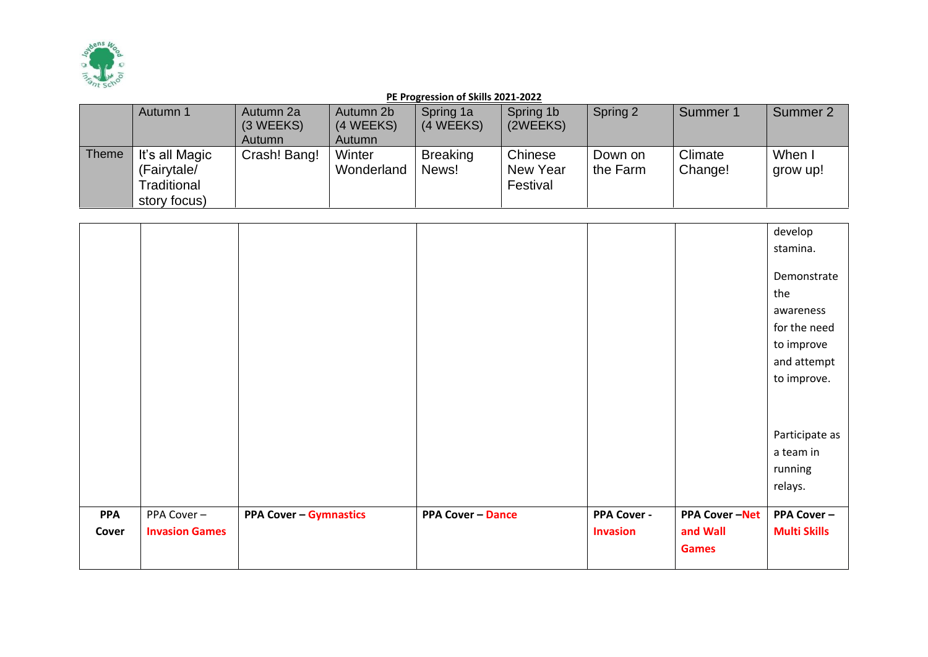

|              | Autumn 1       | Autumn 2a<br>(3 WEEKS) | Autumn 2b<br>(4 WEEKS) | Spring 1a<br>(4 WEEKS) | Spring 1b<br>(2WEEKS) | Spring 2 | Summer 1 | Summer 2 |
|--------------|----------------|------------------------|------------------------|------------------------|-----------------------|----------|----------|----------|
|              |                |                        |                        |                        |                       |          |          |          |
|              |                | Autumn                 | Autumn                 |                        |                       |          |          |          |
| <b>Theme</b> | It's all Magic | Crash! Bang!           | Winter                 | <b>Breaking</b>        | Chinese               | Down on  | Climate  | When I   |
|              | (Fairytale/    |                        | Wonderland             | News!                  | New Year              | the Farm | Change!  | grow up! |
|              | Traditional    |                        |                        |                        | Festival              |          |          |          |
|              | story focus)   |                        |                        |                        |                       |          |          |          |

|            |                       |                               |                          |                    |                      | develop             |
|------------|-----------------------|-------------------------------|--------------------------|--------------------|----------------------|---------------------|
|            |                       |                               |                          |                    |                      | stamina.            |
|            |                       |                               |                          |                    |                      |                     |
|            |                       |                               |                          |                    |                      | Demonstrate         |
|            |                       |                               |                          |                    |                      | the                 |
|            |                       |                               |                          |                    |                      | awareness           |
|            |                       |                               |                          |                    |                      | for the need        |
|            |                       |                               |                          |                    |                      | to improve          |
|            |                       |                               |                          |                    |                      | and attempt         |
|            |                       |                               |                          |                    |                      | to improve.         |
|            |                       |                               |                          |                    |                      |                     |
|            |                       |                               |                          |                    |                      |                     |
|            |                       |                               |                          |                    |                      | Participate as      |
|            |                       |                               |                          |                    |                      | a team in           |
|            |                       |                               |                          |                    |                      | running             |
|            |                       |                               |                          |                    |                      | relays.             |
|            |                       |                               |                          |                    |                      |                     |
| <b>PPA</b> | PPA Cover-            | <b>PPA Cover - Gymnastics</b> | <b>PPA Cover - Dance</b> | <b>PPA Cover -</b> | <b>PPA Cover-Net</b> | <b>PPA Cover -</b>  |
| Cover      | <b>Invasion Games</b> |                               |                          | <b>Invasion</b>    | and Wall             | <b>Multi Skills</b> |
|            |                       |                               |                          |                    | <b>Games</b>         |                     |
|            |                       |                               |                          |                    |                      |                     |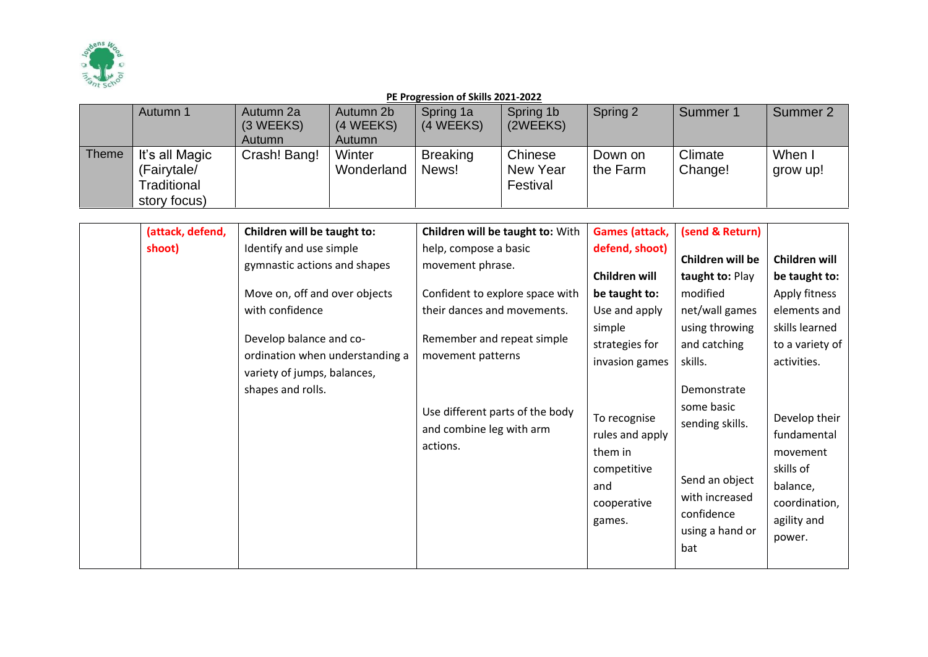

|       | Autumn 1                                                     | Autumn 2a<br>$(3 \, \text{WEEKS})$<br><b>Autumn</b> | Autumn 2b<br>(4 WEEKS)<br>Autumn | Spring 1a<br>(4 WEEKS)   | Spring 1b<br>(2WEEKS)           | Spring 2            | Summer 1           | Summer 2         |
|-------|--------------------------------------------------------------|-----------------------------------------------------|----------------------------------|--------------------------|---------------------------------|---------------------|--------------------|------------------|
| Theme | It's all Magic<br>(Fairytale/<br>Traditional<br>story focus) | Crash! Bang!                                        | Winter<br>Wonderland             | <b>Breaking</b><br>News! | Chinese<br>New Year<br>Festival | Down on<br>the Farm | Climate<br>Change! | When<br>grow up! |

| (attack, defend, | Children will be taught to:                                                                                                                                        | Children will be taught to: With                                                                                                                                                             | <b>Games (attack,</b>                                                                                                                                                     | (send & Return)                                                                                                                                                                                     |                                                                                                                                                                                                  |
|------------------|--------------------------------------------------------------------------------------------------------------------------------------------------------------------|----------------------------------------------------------------------------------------------------------------------------------------------------------------------------------------------|---------------------------------------------------------------------------------------------------------------------------------------------------------------------------|-----------------------------------------------------------------------------------------------------------------------------------------------------------------------------------------------------|--------------------------------------------------------------------------------------------------------------------------------------------------------------------------------------------------|
| shoot)           | Identify and use simple<br>gymnastic actions and shapes                                                                                                            | help, compose a basic<br>movement phrase.                                                                                                                                                    | defend, shoot)<br>Children will                                                                                                                                           | Children will be<br>taught to: Play                                                                                                                                                                 | Children will<br>be taught to:                                                                                                                                                                   |
|                  | Move on, off and over objects<br>with confidence<br>Develop balance and co-<br>ordination when understanding a<br>variety of jumps, balances,<br>shapes and rolls. | Confident to explore space with<br>their dances and movements.<br>Remember and repeat simple<br>movement patterns<br>Use different parts of the body<br>and combine leg with arm<br>actions. | be taught to:<br>Use and apply<br>simple<br>strategies for<br>invasion games<br>To recognise<br>rules and apply<br>them in<br>competitive<br>and<br>cooperative<br>games. | modified<br>net/wall games<br>using throwing<br>and catching<br>skills.<br>Demonstrate<br>some basic<br>sending skills.<br>Send an object<br>with increased<br>confidence<br>using a hand or<br>bat | Apply fitness<br>elements and<br>skills learned<br>to a variety of<br>activities.<br>Develop their<br>fundamental<br>movement<br>skills of<br>balance,<br>coordination,<br>agility and<br>power. |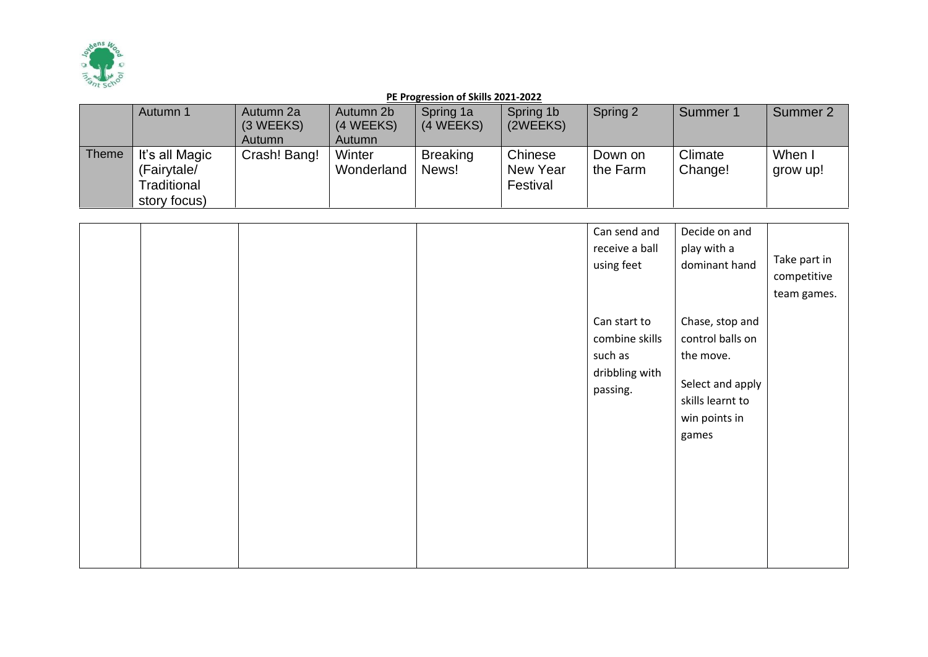

|       | Autumn 1       | Autumn 2a    | Autumn 2b  | Spring 1a       | Spring 1b | Spring 2 | Summer 1 | Summer 2 |
|-------|----------------|--------------|------------|-----------------|-----------|----------|----------|----------|
|       |                | (3 WEEKS)    | (4 WEEKS)  | (4 WEEKS)       | (2WEEKS)  |          |          |          |
|       |                | Autumn       | Autumn     |                 |           |          |          |          |
| Theme | It's all Magic | Crash! Bang! | Winter     | <b>Breaking</b> | Chinese   | Down on  | Climate  | When I   |
|       | (Fairytale/    |              | Wonderland | News!           | New Year  | the Farm | Change!  | grow up! |
|       | Traditional    |              |            |                 | Festival  |          |          |          |
|       | story focus)   |              |            |                 |           |          |          |          |

|  |  | Can send and<br>receive a ball<br>using feet                            | Decide on and<br>play with a<br>dominant hand                                                                      | Take part in<br>competitive<br>team games. |
|--|--|-------------------------------------------------------------------------|--------------------------------------------------------------------------------------------------------------------|--------------------------------------------|
|  |  | Can start to<br>combine skills<br>such as<br>dribbling with<br>passing. | Chase, stop and<br>control balls on<br>the move.<br>Select and apply<br>skills learnt to<br>win points in<br>games |                                            |
|  |  |                                                                         |                                                                                                                    |                                            |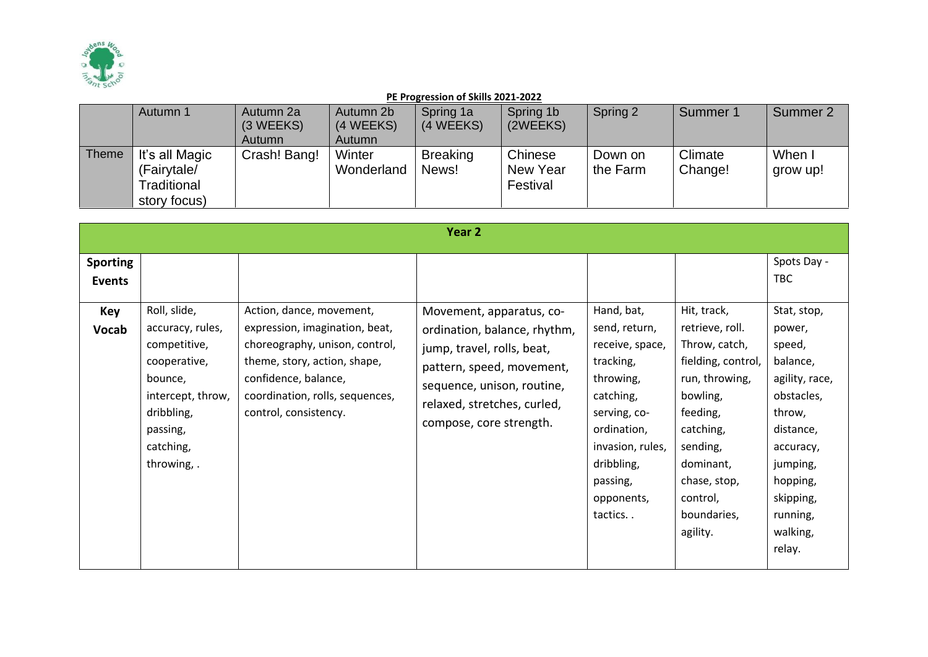

| Autumn 1                                                                     | Autumn 2a<br>(3 WEEKS)<br>Autumn | Autumn 2b<br>(4 WEEKS)<br>Autumn | Spring 1a<br>(4 WEEKS)   | Spring 1b<br>(2WEEKS)           | Spring 2            | Summer 1           | Summer 2           |
|------------------------------------------------------------------------------|----------------------------------|----------------------------------|--------------------------|---------------------------------|---------------------|--------------------|--------------------|
| <b>Theme</b><br>It's all Magic<br>(Fairytale/<br>Traditional<br>story focus) | Crash! Bang!                     | Winter<br>Wonderland             | <b>Breaking</b><br>News! | Chinese<br>New Year<br>Festival | Down on<br>the Farm | Climate<br>Change! | When I<br>grow up! |

|                                  |                                                                                                                                                        |                                                                                                                                                                                                                  | Year 2                                                                                                                                                                                                      |                                                                                                                                                                                             |                                                                                                                                                                                                              |                                                                                                                                                                                        |
|----------------------------------|--------------------------------------------------------------------------------------------------------------------------------------------------------|------------------------------------------------------------------------------------------------------------------------------------------------------------------------------------------------------------------|-------------------------------------------------------------------------------------------------------------------------------------------------------------------------------------------------------------|---------------------------------------------------------------------------------------------------------------------------------------------------------------------------------------------|--------------------------------------------------------------------------------------------------------------------------------------------------------------------------------------------------------------|----------------------------------------------------------------------------------------------------------------------------------------------------------------------------------------|
| <b>Sporting</b><br><b>Events</b> |                                                                                                                                                        |                                                                                                                                                                                                                  |                                                                                                                                                                                                             |                                                                                                                                                                                             |                                                                                                                                                                                                              | Spots Day -<br><b>TBC</b>                                                                                                                                                              |
| <b>Key</b><br><b>Vocab</b>       | Roll, slide,<br>accuracy, rules,<br>competitive,<br>cooperative,<br>bounce,<br>intercept, throw,<br>dribbling,<br>passing,<br>catching,<br>throwing, . | Action, dance, movement,<br>expression, imagination, beat,<br>choreography, unison, control,<br>theme, story, action, shape,<br>confidence, balance,<br>coordination, rolls, sequences,<br>control, consistency. | Movement, apparatus, co-<br>ordination, balance, rhythm,<br>jump, travel, rolls, beat,<br>pattern, speed, movement,<br>sequence, unison, routine,<br>relaxed, stretches, curled,<br>compose, core strength. | Hand, bat,<br>send, return,<br>receive, space,<br>tracking,<br>throwing,<br>catching,<br>serving, co-<br>ordination,<br>invasion, rules,<br>dribbling,<br>passing,<br>opponents,<br>tactics | Hit, track,<br>retrieve, roll.<br>Throw, catch,<br>fielding, control,<br>run, throwing,<br>bowling,<br>feeding,<br>catching,<br>sending,<br>dominant,<br>chase, stop,<br>control,<br>boundaries,<br>agility. | Stat, stop,<br>power,<br>speed,<br>balance,<br>agility, race,<br>obstacles,<br>throw,<br>distance,<br>accuracy,<br>jumping,<br>hopping,<br>skipping,<br>running,<br>walking,<br>relay. |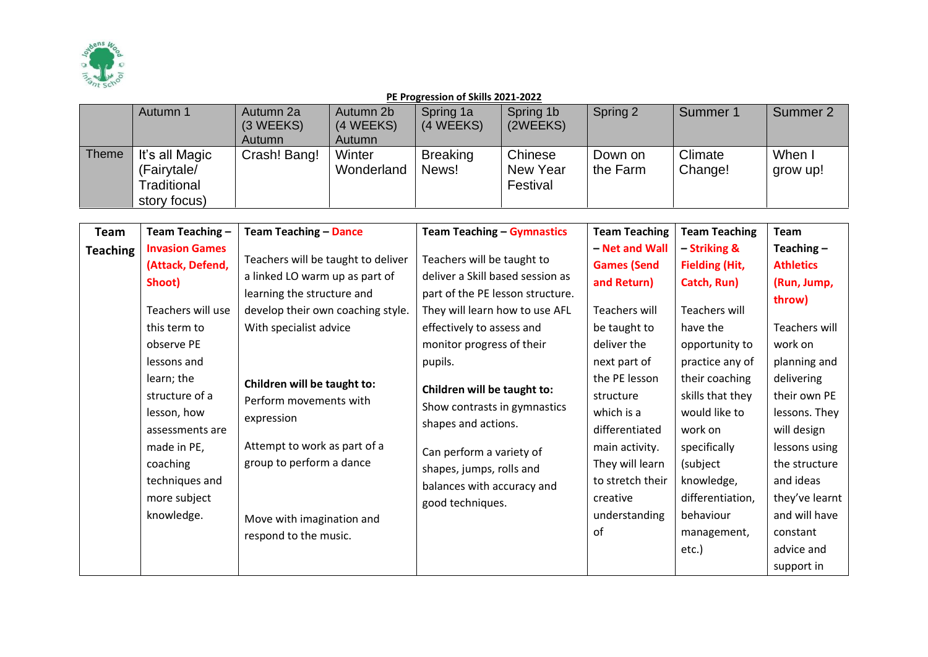

|       | Autumn 1       | Autumn 2a<br>(3 WEEKS) | Autumn 2b<br>(4 WEEKS) | Spring 1a<br>(4 WEEKS) | Spring 1b<br>(2WEEKS) | Spring 2 | Summer 1 | Summer 2 |
|-------|----------------|------------------------|------------------------|------------------------|-----------------------|----------|----------|----------|
|       |                | Autumn                 | Autumn                 |                        |                       |          |          |          |
| Theme | It's all Magic | Crash! Bang!           | Winter                 | <b>Breaking</b>        | Chinese               | Down on  | Climate  | When I   |
|       | (Fairytale/    |                        | Wonderland             | News!                  | New Year              | the Farm | Change!  | grow up! |
|       | Traditional    |                        |                        |                        | Festival              |          |          |          |
|       | story focus)   |                        |                        |                        |                       |          |          |          |

| Team<br><b>Teaching</b> | Team Teaching -<br><b>Invasion Games</b><br>(Attack, Defend,<br>Shoot)<br>Teachers will use<br>this term to<br>observe PE<br>lessons and<br>learn; the<br>structure of a<br>lesson, how<br>assessments are<br>made in PE,<br>coaching<br>techniques and<br>more subject<br>knowledge. | <b>Team Teaching - Dance</b><br>Teachers will be taught to deliver<br>a linked LO warm up as part of<br>learning the structure and<br>develop their own coaching style.<br>With specialist advice<br>Children will be taught to:<br>Perform movements with<br>expression<br>Attempt to work as part of a<br>group to perform a dance<br>Move with imagination and<br>respond to the music. | <b>Team Teaching - Gymnastics</b><br>Teachers will be taught to<br>deliver a Skill based session as<br>part of the PE lesson structure.<br>They will learn how to use AFL<br>effectively to assess and<br>monitor progress of their<br>pupils.<br>Children will be taught to:<br>Show contrasts in gymnastics<br>shapes and actions.<br>Can perform a variety of<br>shapes, jumps, rolls and<br>balances with accuracy and<br>good techniques. | <b>Team Teaching</b><br>- Net and Wall<br><b>Games (Send</b><br>and Return)<br>Teachers will<br>be taught to<br>deliver the<br>next part of<br>the PE lesson<br>structure<br>which is a<br>differentiated<br>main activity.<br>They will learn<br>to stretch their<br>creative<br>understanding<br>of | <b>Team Teaching</b><br>- Striking &<br><b>Fielding (Hit,</b><br>Catch, Run)<br>Teachers will<br>have the<br>opportunity to<br>practice any of<br>their coaching<br>skills that they<br>would like to<br>work on<br>specifically<br>(subject<br>knowledge,<br>differentiation,<br>behaviour<br>management,<br>etc.) | Team<br>Teaching $-$<br><b>Athletics</b><br>(Run, Jump,<br>throw)<br>Teachers will<br>work on<br>planning and<br>delivering<br>their own PE<br>lessons. They<br>will design<br>lessons using<br>the structure<br>and ideas<br>they've learnt<br>and will have<br>constant<br>advice and<br>support in |
|-------------------------|---------------------------------------------------------------------------------------------------------------------------------------------------------------------------------------------------------------------------------------------------------------------------------------|--------------------------------------------------------------------------------------------------------------------------------------------------------------------------------------------------------------------------------------------------------------------------------------------------------------------------------------------------------------------------------------------|------------------------------------------------------------------------------------------------------------------------------------------------------------------------------------------------------------------------------------------------------------------------------------------------------------------------------------------------------------------------------------------------------------------------------------------------|-------------------------------------------------------------------------------------------------------------------------------------------------------------------------------------------------------------------------------------------------------------------------------------------------------|---------------------------------------------------------------------------------------------------------------------------------------------------------------------------------------------------------------------------------------------------------------------------------------------------------------------|-------------------------------------------------------------------------------------------------------------------------------------------------------------------------------------------------------------------------------------------------------------------------------------------------------|
|-------------------------|---------------------------------------------------------------------------------------------------------------------------------------------------------------------------------------------------------------------------------------------------------------------------------------|--------------------------------------------------------------------------------------------------------------------------------------------------------------------------------------------------------------------------------------------------------------------------------------------------------------------------------------------------------------------------------------------|------------------------------------------------------------------------------------------------------------------------------------------------------------------------------------------------------------------------------------------------------------------------------------------------------------------------------------------------------------------------------------------------------------------------------------------------|-------------------------------------------------------------------------------------------------------------------------------------------------------------------------------------------------------------------------------------------------------------------------------------------------------|---------------------------------------------------------------------------------------------------------------------------------------------------------------------------------------------------------------------------------------------------------------------------------------------------------------------|-------------------------------------------------------------------------------------------------------------------------------------------------------------------------------------------------------------------------------------------------------------------------------------------------------|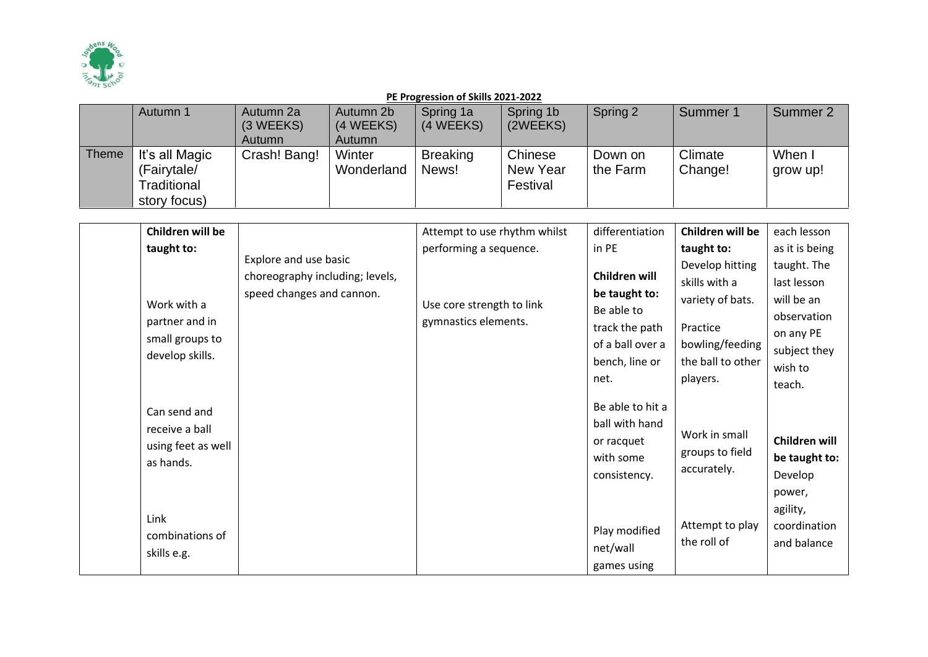

|       | Autumn 1       | Autumn 2a<br>(3 WEEKS) | Autumn 2b<br>(4 WEEKS) | Spring 1a<br>(4 WEEKS) | Spring 1b<br>(2WEEKS) | Spring 2 | Summer 1 | Summer 2 |
|-------|----------------|------------------------|------------------------|------------------------|-----------------------|----------|----------|----------|
|       |                | <b>Autumn</b>          | Autumn                 |                        |                       |          |          |          |
| Theme | It's all Magic | Crash! Bang!           | Winter                 | <b>Breaking</b>        | Chinese               | Down on  | Climate  | When I   |
|       | (Fairytale/    |                        | Wonderland             | News!                  | New Year              | the Farm | Change!  | grow up! |
|       | Traditional    |                        |                        |                        | Festival              |          |          |          |
|       | story focus)   |                        |                        |                        |                       |          |          |          |

| Children will be   |                                 | Attempt to use rhythm whilst | differentiation                    | Children will be                     | each lesson    |
|--------------------|---------------------------------|------------------------------|------------------------------------|--------------------------------------|----------------|
| taught to:         |                                 | performing a sequence.       | in PE                              | taught to:                           | as it is being |
|                    | Explore and use basic           |                              |                                    | Develop hitting                      | taught. The    |
|                    | choreography including; levels, |                              | Children will                      | skills with a                        | last lesson    |
| Work with a        | speed changes and cannon.       | Use core strength to link    | be taught to:                      | variety of bats.                     | will be an     |
| partner and in     |                                 | gymnastics elements.         | Be able to                         |                                      | observation    |
| small groups to    |                                 |                              | track the path<br>of a ball over a | Practice                             | on any PE      |
| develop skills.    |                                 |                              | bench, line or                     | bowling/feeding<br>the ball to other | subject they   |
|                    |                                 |                              | net.                               |                                      | wish to        |
|                    |                                 |                              |                                    | players.                             | teach.         |
| Can send and       |                                 |                              | Be able to hit a                   |                                      |                |
| receive a ball     |                                 |                              | ball with hand                     |                                      |                |
| using feet as well |                                 |                              | or racquet                         | Work in small                        | Children will  |
| as hands.          |                                 |                              | with some                          | groups to field                      | be taught to:  |
|                    |                                 |                              | consistency.                       | accurately.                          | Develop        |
|                    |                                 |                              |                                    |                                      | power,         |
|                    |                                 |                              |                                    |                                      | agility,       |
| Link               |                                 |                              | Play modified                      | Attempt to play                      | coordination   |
| combinations of    |                                 |                              | net/wall                           | the roll of                          | and balance    |
| skills e.g.        |                                 |                              | games using                        |                                      |                |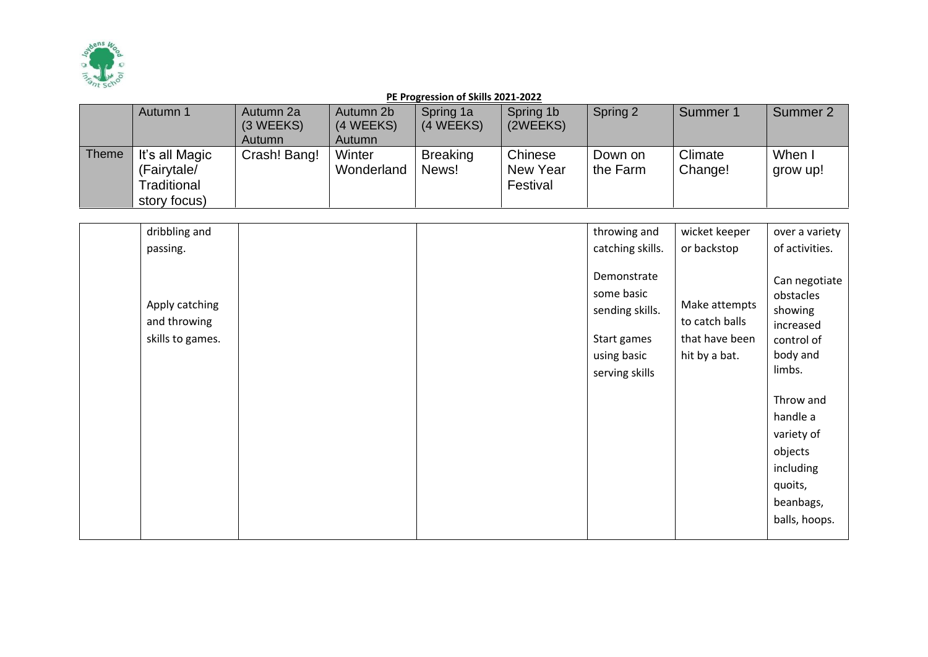

|       | Autumn 1                                                     | Autumn 2a<br>(3 WEEKS)<br><b>Autumn</b> | Autumn 2b<br>(4 WEEKS)<br>Autumn | Spring 1a<br>(4 WEEKS)   | Spring 1b<br>(2WEEKS)           | Spring 2            | Summer 1           | Summer 2           |
|-------|--------------------------------------------------------------|-----------------------------------------|----------------------------------|--------------------------|---------------------------------|---------------------|--------------------|--------------------|
| Theme | It's all Magic<br>(Fairytale/<br>Traditional<br>story focus) | Crash! Bang!                            | Winter<br>Wonderland             | <b>Breaking</b><br>News! | Chinese<br>New Year<br>Festival | Down on<br>the Farm | Climate<br>Change! | When I<br>grow up! |

| dribbling and                                      |  | throwing and                                                                                 | wicket keeper                                                      | over a variety                                                                                                                                                                                 |
|----------------------------------------------------|--|----------------------------------------------------------------------------------------------|--------------------------------------------------------------------|------------------------------------------------------------------------------------------------------------------------------------------------------------------------------------------------|
| passing.                                           |  | catching skills.                                                                             | or backstop                                                        | of activities.                                                                                                                                                                                 |
| Apply catching<br>and throwing<br>skills to games. |  | Demonstrate<br>some basic<br>sending skills.<br>Start games<br>using basic<br>serving skills | Make attempts<br>to catch balls<br>that have been<br>hit by a bat. | Can negotiate<br>obstacles<br>showing<br>increased<br>control of<br>body and<br>limbs.<br>Throw and<br>handle a<br>variety of<br>objects<br>including<br>quoits,<br>beanbags,<br>balls, hoops. |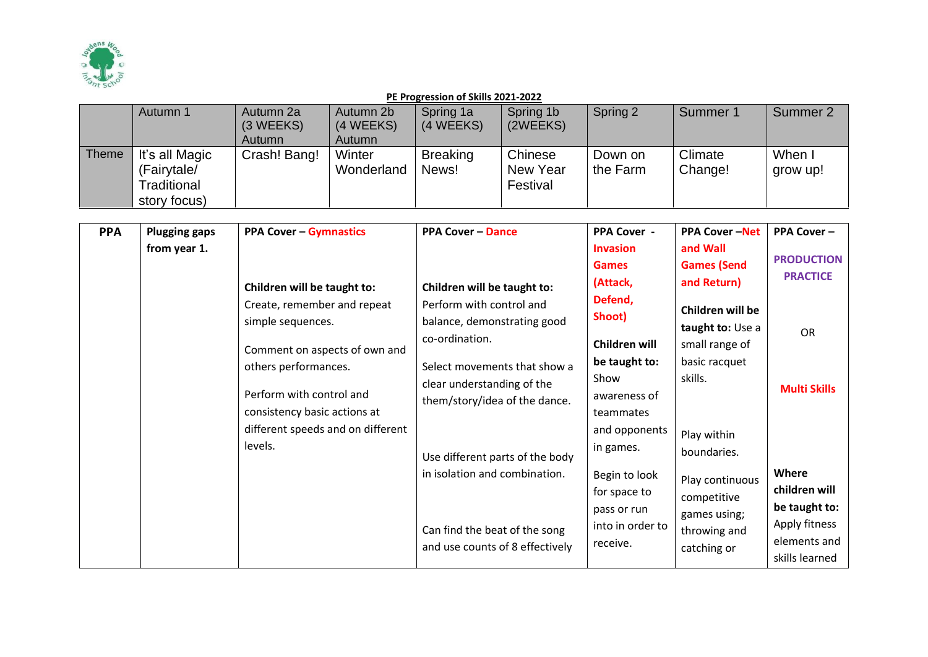

|       | Autumn 1       | Autumn 2a     | Autumn 2b  | Spring 1a       | Spring 1b | Spring 2 | Summer 1 | Summer 2 |
|-------|----------------|---------------|------------|-----------------|-----------|----------|----------|----------|
|       |                | (3 WEEKS)     | (4 WEEKS)  | (4 WEEKS)       | (2WEEKS)  |          |          |          |
|       |                | <b>Autumn</b> | Autumn     |                 |           |          |          |          |
| Theme | It's all Magic | Crash! Bang!  | Winter     | <b>Breaking</b> | Chinese   | Down on  | Climate  | When I   |
|       | (Fairytale/    |               | Wonderland | News!           | New Year  | the Farm | Change!  | grow up! |
|       | Traditional    |               |            |                 | Festival  |          |          |          |
|       | story focus)   |               |            |                 |           |          |          |          |

| <b>PPA</b> | <b>Plugging gaps</b> | <b>PPA Cover - Gymnastics</b>                                                                                                                                        | <b>PPA Cover - Dance</b>                                                                                                                                               | <b>PPA Cover -</b>                                                                                                      | <b>PPA Cover-Net</b>                                                                                        | <b>PPA Cover -</b>                                                                         |
|------------|----------------------|----------------------------------------------------------------------------------------------------------------------------------------------------------------------|------------------------------------------------------------------------------------------------------------------------------------------------------------------------|-------------------------------------------------------------------------------------------------------------------------|-------------------------------------------------------------------------------------------------------------|--------------------------------------------------------------------------------------------|
|            | from year 1.         |                                                                                                                                                                      |                                                                                                                                                                        | <b>Invasion</b><br><b>Games</b>                                                                                         | and Wall<br><b>Games (Send</b>                                                                              | <b>PRODUCTION</b>                                                                          |
|            |                      | Children will be taught to:<br>Create, remember and repeat<br>simple sequences.<br>Comment on aspects of own and<br>others performances.<br>Perform with control and | Children will be taught to:<br>Perform with control and<br>balance, demonstrating good<br>co-ordination.<br>Select movements that show a<br>clear understanding of the | (Attack,<br>Defend,<br>Shoot)<br>Children will<br>be taught to:<br>Show<br>awareness of                                 | and Return)<br>Children will be<br>taught to: Use a<br>small range of<br>basic racquet<br>skills.           | <b>PRACTICE</b><br><b>OR</b><br><b>Multi Skills</b>                                        |
|            |                      | consistency basic actions at<br>different speeds and on different<br>levels.                                                                                         | them/story/idea of the dance.<br>Use different parts of the body<br>in isolation and combination.<br>Can find the beat of the song<br>and use counts of 8 effectively  | teammates<br>and opponents<br>in games.<br>Begin to look<br>for space to<br>pass or run<br>into in order to<br>receive. | Play within<br>boundaries.<br>Play continuous<br>competitive<br>games using;<br>throwing and<br>catching or | Where<br>children will<br>be taught to:<br>Apply fitness<br>elements and<br>skills learned |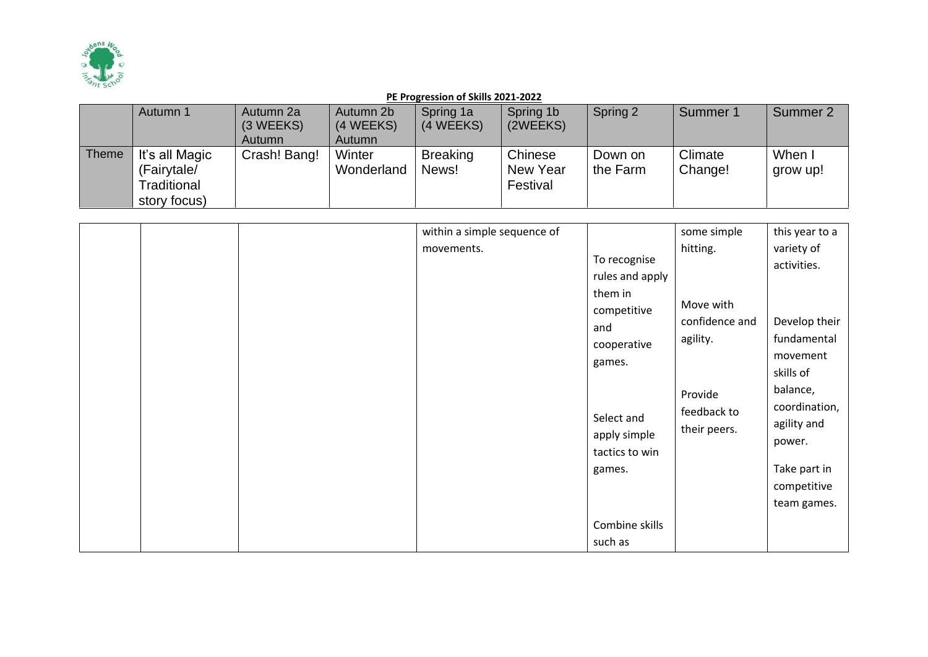

|              | Autumn 1                                                     | Autumn 2a<br>(3 WEEKS) | Autumn 2b<br>(4 WEEKS) | Spring 1a<br>(4 WEEKS)   | Spring 1b<br>(2WEEKS)           | Spring 2            | Summer 1           | Summer 2           |
|--------------|--------------------------------------------------------------|------------------------|------------------------|--------------------------|---------------------------------|---------------------|--------------------|--------------------|
|              |                                                              | <b>Autumn</b>          | Autumn                 |                          |                                 |                     |                    |                    |
| <b>Theme</b> | It's all Magic<br>(Fairytale/<br>Traditional<br>story focus) | Crash! Bang!           | Winter<br>Wonderland   | <b>Breaking</b><br>News! | Chinese<br>New Year<br>Festival | Down on<br>the Farm | Climate<br>Change! | When I<br>grow up! |

|  | within a simple sequence of |                                                                                                                                                                       | some simple                                                                                   | this year to a                                                                                                                                                                         |
|--|-----------------------------|-----------------------------------------------------------------------------------------------------------------------------------------------------------------------|-----------------------------------------------------------------------------------------------|----------------------------------------------------------------------------------------------------------------------------------------------------------------------------------------|
|  | movements.                  | To recognise<br>rules and apply<br>them in<br>competitive<br>and<br>cooperative<br>games.<br>Select and<br>apply simple<br>tactics to win<br>games.<br>Combine skills | hitting.<br>Move with<br>confidence and<br>agility.<br>Provide<br>feedback to<br>their peers. | variety of<br>activities.<br>Develop their<br>fundamental<br>movement<br>skills of<br>balance,<br>coordination,<br>agility and<br>power.<br>Take part in<br>competitive<br>team games. |
|  |                             | such as                                                                                                                                                               |                                                                                               |                                                                                                                                                                                        |